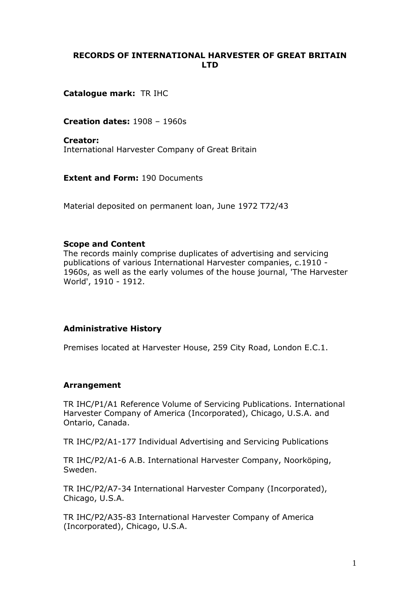### **RECORDS OF INTERNATIONAL HARVESTER OF GREAT BRITAIN LTD**

**Catalogue mark:** TR IHC

**Creation dates:** 1908 – 1960s

**Creator:**  International Harvester Company of Great Britain

**Extent and Form:** 190 Documents

Material deposited on permanent loan, June 1972 T72/43

#### **Scope and Content**

The records mainly comprise duplicates of advertising and servicing publications of various International Harvester companies, c.1910 - 1960s, as well as the early volumes of the house journal, 'The Harvester World', 1910 - 1912.

### **Administrative History**

Premises located at Harvester House, 259 City Road, London E.C.1.

### **Arrangement**

TR IHC/P1/A1 Reference Volume of Servicing Publications. International Harvester Company of America (Incorporated), Chicago, U.S.A. and Ontario, Canada.

TR IHC/P2/A1-177 Individual Advertising and Servicing Publications

TR IHC/P2/A1-6 A.B. International Harvester Company, Noorköping, Sweden.

TR IHC/P2/A7-34 International Harvester Company (Incorporated), Chicago, U.S.A.

TR IHC/P2/A35-83 International Harvester Company of America (Incorporated), Chicago, U.S.A.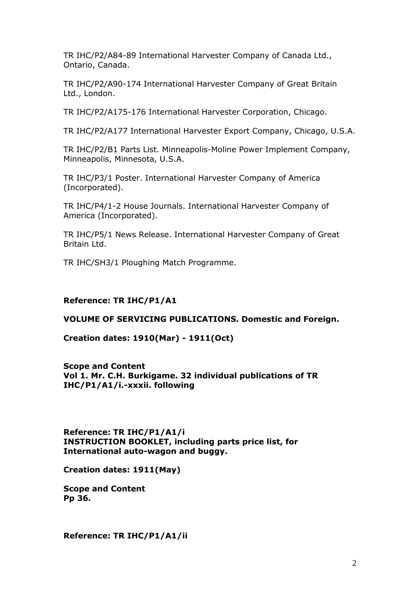TR IHC/P2/A84-89 International Harvester Company of Canada Ltd., Ontario, Canada.

TR IHC/P2/A90-174 International Harvester Company of Great Britain Ltd., London.

TR IHC/P2/A175-176 International Harvester Corporation, Chicago.

TR IHC/P2/A177 International Harvester Export Company, Chicago, U.S.A.

TR IHC/P2/B1 Parts List. Minneapolis-Moline Power Implement Company, Minneapolis, Minnesota, U.S.A.

TR IHC/P3/1 Poster. International Harvester Company of America (Incorporated).

TR IHC/P4/1-2 House Journals. International Harvester Company of America (Incorporated).

TR IHC/P5/1 News Release. International Harvester Company of Great Britain Ltd.

TR IHC/SH3/1 Ploughing Match Programme.

#### **Reference: TR IHC/P1/A1**

#### **VOLUME OF SERVICING PUBLICATIONS. Domestic and Foreign.**

**Creation dates: 1910(Mar) - 1911(Oct)**

**Scope and Content Vol 1. Mr. C.H. Burkigame. 32 individual publications of TR IHC/P1/A1/i.-xxxii. following**

**Reference: TR IHC/P1/A1/i INSTRUCTION BOOKLET, including parts price list, for International auto-wagon and buggy.**

**Creation dates: 1911(May)**

**Scope and Content Pp 36.**

**Reference: TR IHC/P1/A1/ii**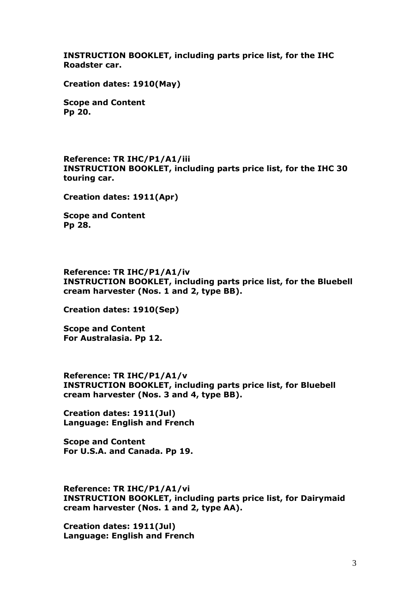**INSTRUCTION BOOKLET, including parts price list, for the IHC Roadster car.**

**Creation dates: 1910(May)**

**Scope and Content Pp 20.**

**Reference: TR IHC/P1/A1/iii INSTRUCTION BOOKLET, including parts price list, for the IHC 30 touring car.**

**Creation dates: 1911(Apr)**

**Scope and Content Pp 28.**

**Reference: TR IHC/P1/A1/iv INSTRUCTION BOOKLET, including parts price list, for the Bluebell cream harvester (Nos. 1 and 2, type BB).**

**Creation dates: 1910(Sep)**

**Scope and Content For Australasia. Pp 12.**

**Reference: TR IHC/P1/A1/v INSTRUCTION BOOKLET, including parts price list, for Bluebell cream harvester (Nos. 3 and 4, type BB).**

**Creation dates: 1911(Jul) Language: English and French**

**Scope and Content For U.S.A. and Canada. Pp 19.**

**Reference: TR IHC/P1/A1/vi INSTRUCTION BOOKLET, including parts price list, for Dairymaid cream harvester (Nos. 1 and 2, type AA).**

**Creation dates: 1911(Jul) Language: English and French**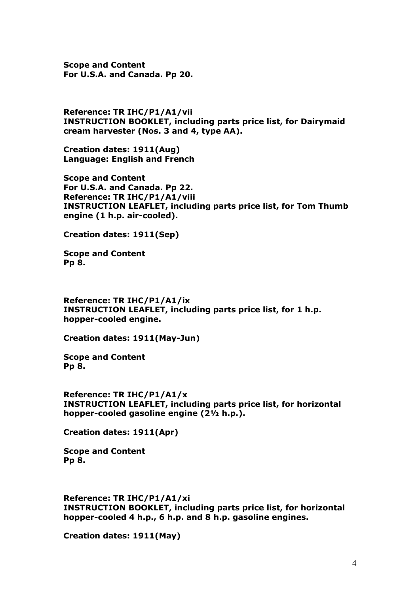**Scope and Content For U.S.A. and Canada. Pp 20.**

**Reference: TR IHC/P1/A1/vii INSTRUCTION BOOKLET, including parts price list, for Dairymaid cream harvester (Nos. 3 and 4, type AA).**

**Creation dates: 1911(Aug) Language: English and French**

**Scope and Content For U.S.A. and Canada. Pp 22. Reference: TR IHC/P1/A1/viii INSTRUCTION LEAFLET, including parts price list, for Tom Thumb engine (1 h.p. air-cooled).**

**Creation dates: 1911(Sep)**

**Scope and Content Pp 8.**

**Reference: TR IHC/P1/A1/ix INSTRUCTION LEAFLET, including parts price list, for 1 h.p. hopper-cooled engine.**

**Creation dates: 1911(May-Jun)**

**Scope and Content Pp 8.**

**Reference: TR IHC/P1/A1/x INSTRUCTION LEAFLET, including parts price list, for horizontal hopper-cooled gasoline engine (2½ h.p.).**

**Creation dates: 1911(Apr)**

**Scope and Content Pp 8.**

**Reference: TR IHC/P1/A1/xi INSTRUCTION BOOKLET, including parts price list, for horizontal hopper-cooled 4 h.p., 6 h.p. and 8 h.p. gasoline engines.**

**Creation dates: 1911(May)**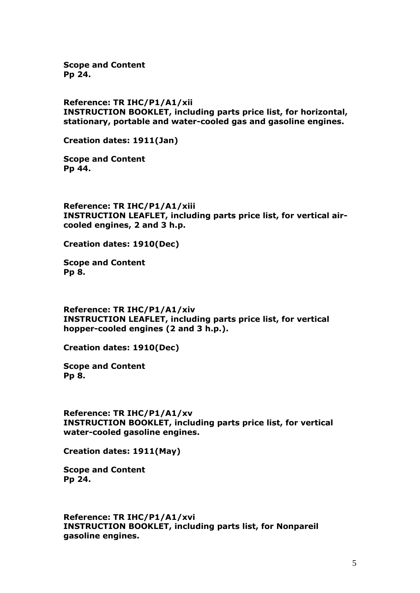**Scope and Content Pp 24.**

**Reference: TR IHC/P1/A1/xii INSTRUCTION BOOKLET, including parts price list, for horizontal, stationary, portable and water-cooled gas and gasoline engines.**

**Creation dates: 1911(Jan)**

**Scope and Content Pp 44.**

**Reference: TR IHC/P1/A1/xiii INSTRUCTION LEAFLET, including parts price list, for vertical aircooled engines, 2 and 3 h.p.**

**Creation dates: 1910(Dec)**

**Scope and Content Pp 8.**

**Reference: TR IHC/P1/A1/xiv INSTRUCTION LEAFLET, including parts price list, for vertical hopper-cooled engines (2 and 3 h.p.).**

**Creation dates: 1910(Dec)**

**Scope and Content Pp 8.**

**Reference: TR IHC/P1/A1/xv INSTRUCTION BOOKLET, including parts price list, for vertical water-cooled gasoline engines.**

**Creation dates: 1911(May)**

**Scope and Content Pp 24.**

**Reference: TR IHC/P1/A1/xvi INSTRUCTION BOOKLET, including parts list, for Nonpareil gasoline engines.**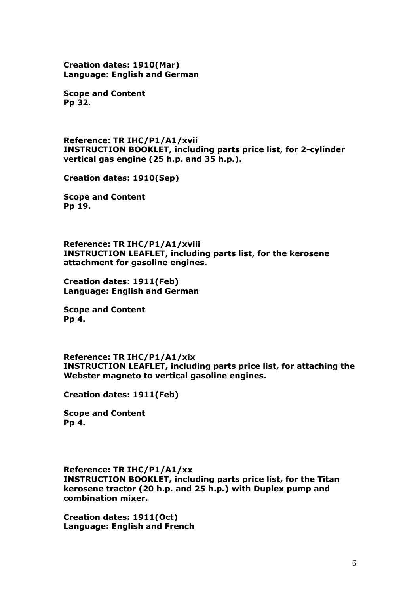**Creation dates: 1910(Mar) Language: English and German**

**Scope and Content Pp 32.**

**Reference: TR IHC/P1/A1/xvii INSTRUCTION BOOKLET, including parts price list, for 2-cylinder vertical gas engine (25 h.p. and 35 h.p.).**

**Creation dates: 1910(Sep)**

**Scope and Content Pp 19.**

**Reference: TR IHC/P1/A1/xviii INSTRUCTION LEAFLET, including parts list, for the kerosene attachment for gasoline engines.**

**Creation dates: 1911(Feb) Language: English and German**

**Scope and Content Pp 4.**

**Reference: TR IHC/P1/A1/xix INSTRUCTION LEAFLET, including parts price list, for attaching the Webster magneto to vertical gasoline engines.**

**Creation dates: 1911(Feb)**

**Scope and Content Pp 4.**

#### **Reference: TR IHC/P1/A1/xx**

**INSTRUCTION BOOKLET, including parts price list, for the Titan kerosene tractor (20 h.p. and 25 h.p.) with Duplex pump and combination mixer.**

**Creation dates: 1911(Oct) Language: English and French**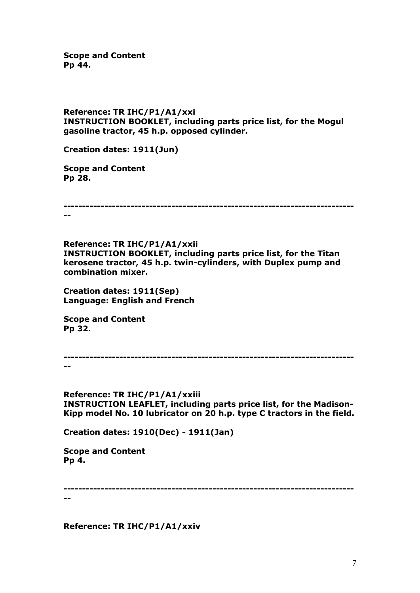**Scope and Content Pp 44.**

#### **Reference: TR IHC/P1/A1/xxi INSTRUCTION BOOKLET, including parts price list, for the Mogul gasoline tractor, 45 h.p. opposed cylinder.**

**Creation dates: 1911(Jun)**

**Scope and Content Pp 28.**

**------------------------------------------------------------------------------ --**

**Reference: TR IHC/P1/A1/xxii INSTRUCTION BOOKLET, including parts price list, for the Titan kerosene tractor, 45 h.p. twin-cylinders, with Duplex pump and combination mixer.**

**Creation dates: 1911(Sep) Language: English and French**

**Scope and Content Pp 32.**

**------------------------------------------------------------------------------ --**

**Reference: TR IHC/P1/A1/xxiii INSTRUCTION LEAFLET, including parts price list, for the Madison-Kipp model No. 10 lubricator on 20 h.p. type C tractors in the field.**

**Creation dates: 1910(Dec) - 1911(Jan)**

**Scope and Content Pp 4.**

**------------------------------------------------------------------------------**

**--**

**Reference: TR IHC/P1/A1/xxiv**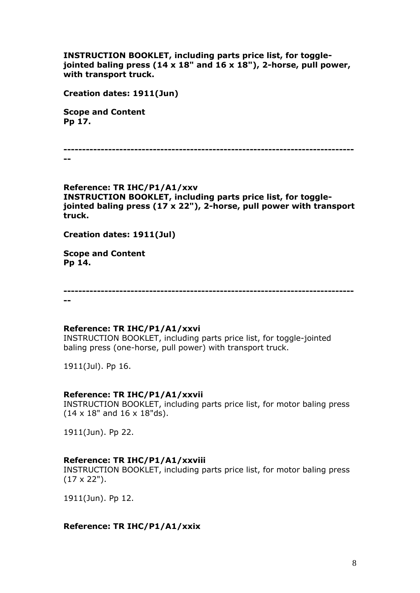**INSTRUCTION BOOKLET, including parts price list, for togglejointed baling press (14 x 18" and 16 x 18"), 2-horse, pull power, with transport truck.**

**Creation dates: 1911(Jun)**

**Scope and Content Pp 17.**

**------------------------------------------------------------------------------**

**--**

**Reference: TR IHC/P1/A1/xxv INSTRUCTION BOOKLET, including parts price list, for togglejointed baling press (17 x 22"), 2-horse, pull power with transport truck.**

**Creation dates: 1911(Jul)**

**Scope and Content Pp 14.**

**------------------------------------------------------------------------------ --**

#### **Reference: TR IHC/P1/A1/xxvi**

INSTRUCTION BOOKLET, including parts price list, for toggle-jointed baling press (one-horse, pull power) with transport truck.

1911(Jul). Pp 16.

#### **Reference: TR IHC/P1/A1/xxvii**

INSTRUCTION BOOKLET, including parts price list, for motor baling press (14 x 18" and 16 x 18"ds).

1911(Jun). Pp 22.

#### **Reference: TR IHC/P1/A1/xxviii**

INSTRUCTION BOOKLET, including parts price list, for motor baling press (17 x 22").

1911(Jun). Pp 12.

#### **Reference: TR IHC/P1/A1/xxix**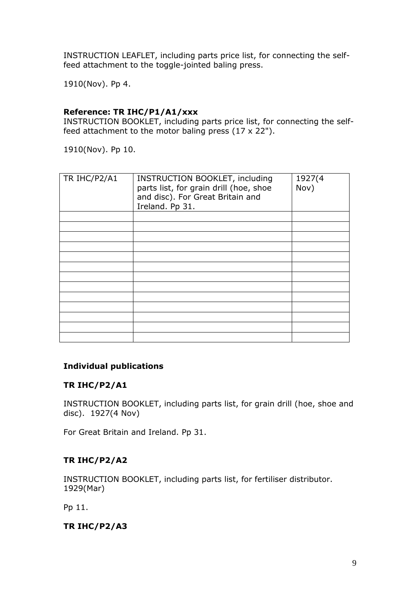INSTRUCTION LEAFLET, including parts price list, for connecting the selffeed attachment to the toggle-jointed baling press.

1910(Nov). Pp 4.

### **Reference: TR IHC/P1/A1/xxx**

INSTRUCTION BOOKLET, including parts price list, for connecting the selffeed attachment to the motor baling press  $(17 \times 22")$ .

1910(Nov). Pp 10.

| TR IHC/P2/A1 | <b>INSTRUCTION BOOKLET, including</b><br>parts list, for grain drill (hoe, shoe<br>and disc). For Great Britain and<br>Ireland. Pp 31. | 1927(4<br>Nov) |
|--------------|----------------------------------------------------------------------------------------------------------------------------------------|----------------|
|              |                                                                                                                                        |                |
|              |                                                                                                                                        |                |
|              |                                                                                                                                        |                |
|              |                                                                                                                                        |                |
|              |                                                                                                                                        |                |
|              |                                                                                                                                        |                |
|              |                                                                                                                                        |                |
|              |                                                                                                                                        |                |
|              |                                                                                                                                        |                |
|              |                                                                                                                                        |                |
|              |                                                                                                                                        |                |
|              |                                                                                                                                        |                |
|              |                                                                                                                                        |                |

### **Individual publications**

### **TR IHC/P2/A1**

INSTRUCTION BOOKLET, including parts list, for grain drill (hoe, shoe and disc). 1927(4 Nov)

For Great Britain and Ireland. Pp 31.

# **TR IHC/P2/A2**

INSTRUCTION BOOKLET, including parts list, for fertiliser distributor. 1929(Mar)

Pp 11.

### **TR IHC/P2/A3**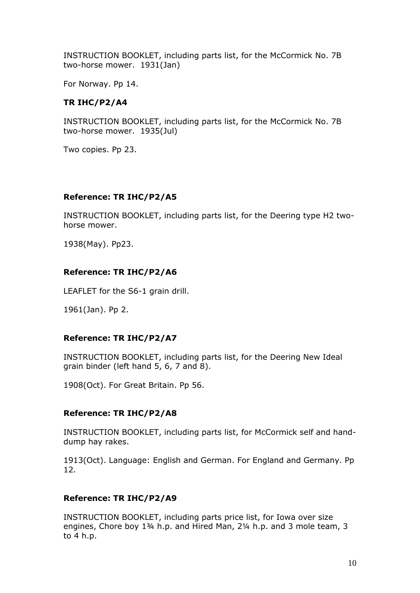INSTRUCTION BOOKLET, including parts list, for the McCormick No. 7B two-horse mower. 1931(Jan)

For Norway. Pp 14.

# **TR IHC/P2/A4**

INSTRUCTION BOOKLET, including parts list, for the McCormick No. 7B two-horse mower. 1935(Jul)

Two copies. Pp 23.

## **Reference: TR IHC/P2/A5**

INSTRUCTION BOOKLET, including parts list, for the Deering type H2 twohorse mower.

1938(May). Pp23.

## **Reference: TR IHC/P2/A6**

LEAFLET for the S6-1 grain drill.

1961(Jan). Pp 2.

# **Reference: TR IHC/P2/A7**

INSTRUCTION BOOKLET, including parts list, for the Deering New Ideal grain binder (left hand 5, 6, 7 and 8).

1908(Oct). For Great Britain. Pp 56.

### **Reference: TR IHC/P2/A8**

INSTRUCTION BOOKLET, including parts list, for McCormick self and handdump hay rakes.

1913(Oct). Language: English and German. For England and Germany. Pp 12.

### **Reference: TR IHC/P2/A9**

INSTRUCTION BOOKLET, including parts price list, for Iowa over size engines, Chore boy 1¾ h.p. and Hired Man, 2¼ h.p. and 3 mole team, 3 to 4 h.p.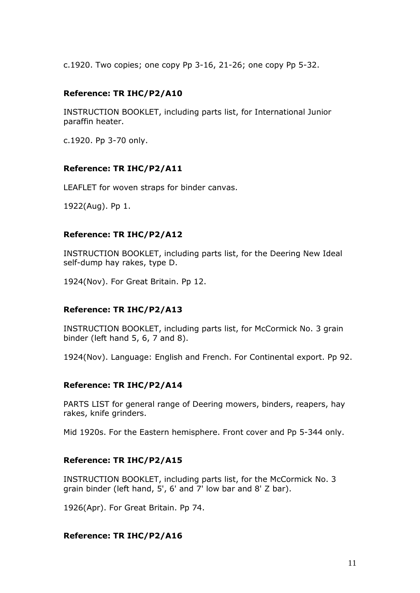c.1920. Two copies; one copy Pp 3-16, 21-26; one copy Pp 5-32.

### **Reference: TR IHC/P2/A10**

INSTRUCTION BOOKLET, including parts list, for International Junior paraffin heater.

c.1920. Pp 3-70 only.

### **Reference: TR IHC/P2/A11**

LEAFLET for woven straps for binder canvas.

1922(Aug). Pp 1.

### **Reference: TR IHC/P2/A12**

INSTRUCTION BOOKLET, including parts list, for the Deering New Ideal self-dump hay rakes, type D.

1924(Nov). For Great Britain. Pp 12.

### **Reference: TR IHC/P2/A13**

INSTRUCTION BOOKLET, including parts list, for McCormick No. 3 grain binder (left hand 5, 6, 7 and 8).

1924(Nov). Language: English and French. For Continental export. Pp 92.

### **Reference: TR IHC/P2/A14**

PARTS LIST for general range of Deering mowers, binders, reapers, hay rakes, knife grinders.

Mid 1920s. For the Eastern hemisphere. Front cover and Pp 5-344 only.

### **Reference: TR IHC/P2/A15**

INSTRUCTION BOOKLET, including parts list, for the McCormick No. 3 grain binder (left hand, 5', 6' and 7' low bar and 8' Z bar).

1926(Apr). For Great Britain. Pp 74.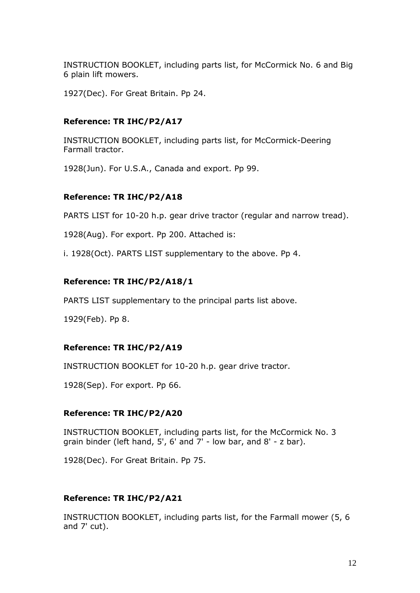INSTRUCTION BOOKLET, including parts list, for McCormick No. 6 and Big 6 plain lift mowers.

1927(Dec). For Great Britain. Pp 24.

### **Reference: TR IHC/P2/A17**

INSTRUCTION BOOKLET, including parts list, for McCormick-Deering Farmall tractor.

1928(Jun). For U.S.A., Canada and export. Pp 99.

#### **Reference: TR IHC/P2/A18**

PARTS LIST for 10-20 h.p. gear drive tractor (regular and narrow tread).

1928(Aug). For export. Pp 200. Attached is:

i. 1928(Oct). PARTS LIST supplementary to the above. Pp 4.

#### **Reference: TR IHC/P2/A18/1**

PARTS LIST supplementary to the principal parts list above.

1929(Feb). Pp 8.

#### **Reference: TR IHC/P2/A19**

INSTRUCTION BOOKLET for 10-20 h.p. gear drive tractor.

1928(Sep). For export. Pp 66.

#### **Reference: TR IHC/P2/A20**

INSTRUCTION BOOKLET, including parts list, for the McCormick No. 3 grain binder (left hand, 5', 6' and 7' - low bar, and 8' - z bar).

1928(Dec). For Great Britain. Pp 75.

#### **Reference: TR IHC/P2/A21**

INSTRUCTION BOOKLET, including parts list, for the Farmall mower (5, 6 and 7' cut).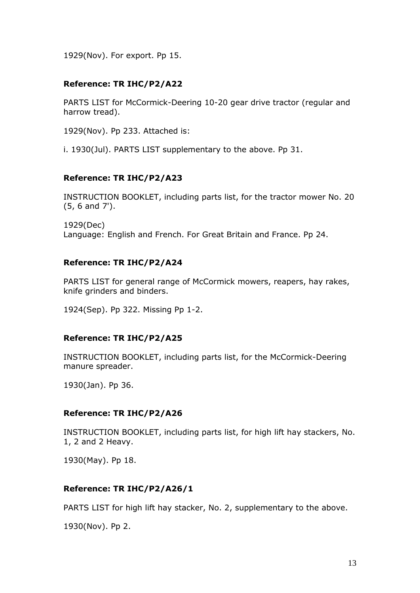1929(Nov). For export. Pp 15.

### **Reference: TR IHC/P2/A22**

PARTS LIST for McCormick-Deering 10-20 gear drive tractor (regular and harrow tread).

1929(Nov). Pp 233. Attached is:

i. 1930(Jul). PARTS LIST supplementary to the above. Pp 31.

### **Reference: TR IHC/P2/A23**

INSTRUCTION BOOKLET, including parts list, for the tractor mower No. 20 (5, 6 and 7').

1929(Dec)

Language: English and French. For Great Britain and France. Pp 24.

### **Reference: TR IHC/P2/A24**

PARTS LIST for general range of McCormick mowers, reapers, hay rakes, knife grinders and binders.

1924(Sep). Pp 322. Missing Pp 1-2.

### **Reference: TR IHC/P2/A25**

INSTRUCTION BOOKLET, including parts list, for the McCormick-Deering manure spreader.

1930(Jan). Pp 36.

### **Reference: TR IHC/P2/A26**

INSTRUCTION BOOKLET, including parts list, for high lift hay stackers, No. 1, 2 and 2 Heavy.

1930(May). Pp 18.

### **Reference: TR IHC/P2/A26/1**

PARTS LIST for high lift hay stacker, No. 2, supplementary to the above.

1930(Nov). Pp 2.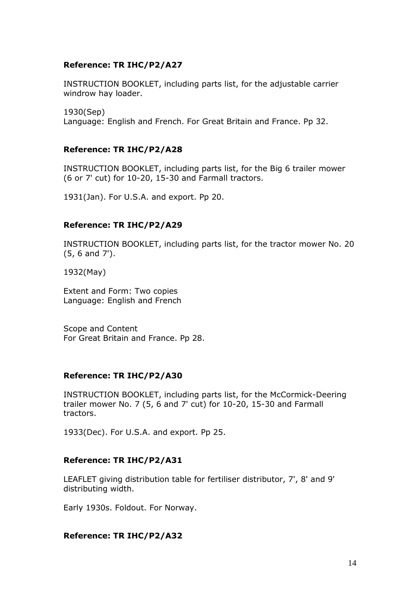### **Reference: TR IHC/P2/A27**

INSTRUCTION BOOKLET, including parts list, for the adjustable carrier windrow hay loader.

1930(Sep) Language: English and French. For Great Britain and France. Pp 32.

# **Reference: TR IHC/P2/A28**

INSTRUCTION BOOKLET, including parts list, for the Big 6 trailer mower (6 or 7' cut) for 10-20, 15-30 and Farmall tractors.

1931(Jan). For U.S.A. and export. Pp 20.

### **Reference: TR IHC/P2/A29**

INSTRUCTION BOOKLET, including parts list, for the tractor mower No. 20 (5, 6 and 7').

1932(May)

Extent and Form: Two copies Language: English and French

Scope and Content For Great Britain and France. Pp 28.

#### **Reference: TR IHC/P2/A30**

INSTRUCTION BOOKLET, including parts list, for the McCormick-Deering trailer mower No. 7 (5, 6 and 7' cut) for 10-20, 15-30 and Farmall tractors.

1933(Dec). For U.S.A. and export. Pp 25.

### **Reference: TR IHC/P2/A31**

LEAFLET giving distribution table for fertiliser distributor, 7', 8' and 9' distributing width.

Early 1930s. Foldout. For Norway.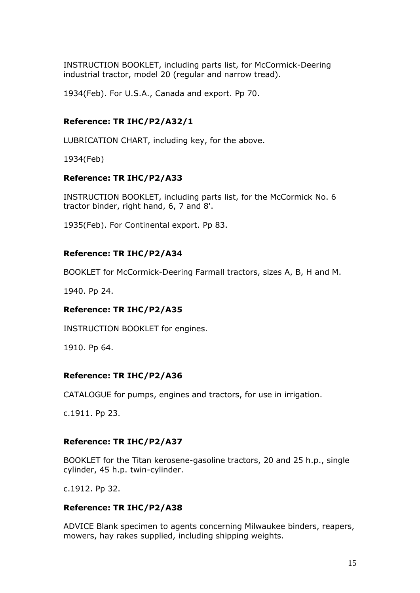INSTRUCTION BOOKLET, including parts list, for McCormick-Deering industrial tractor, model 20 (regular and narrow tread).

1934(Feb). For U.S.A., Canada and export. Pp 70.

## **Reference: TR IHC/P2/A32/1**

LUBRICATION CHART, including key, for the above.

1934(Feb)

### **Reference: TR IHC/P2/A33**

INSTRUCTION BOOKLET, including parts list, for the McCormick No. 6 tractor binder, right hand, 6, 7 and 8'.

1935(Feb). For Continental export. Pp 83.

### **Reference: TR IHC/P2/A34**

BOOKLET for McCormick-Deering Farmall tractors, sizes A, B, H and M.

1940. Pp 24.

### **Reference: TR IHC/P2/A35**

INSTRUCTION BOOKLET for engines.

1910. Pp 64.

#### **Reference: TR IHC/P2/A36**

CATALOGUE for pumps, engines and tractors, for use in irrigation.

c.1911. Pp 23.

### **Reference: TR IHC/P2/A37**

BOOKLET for the Titan kerosene-gasoline tractors, 20 and 25 h.p., single cylinder, 45 h.p. twin-cylinder.

c.1912. Pp 32.

#### **Reference: TR IHC/P2/A38**

ADVICE Blank specimen to agents concerning Milwaukee binders, reapers, mowers, hay rakes supplied, including shipping weights.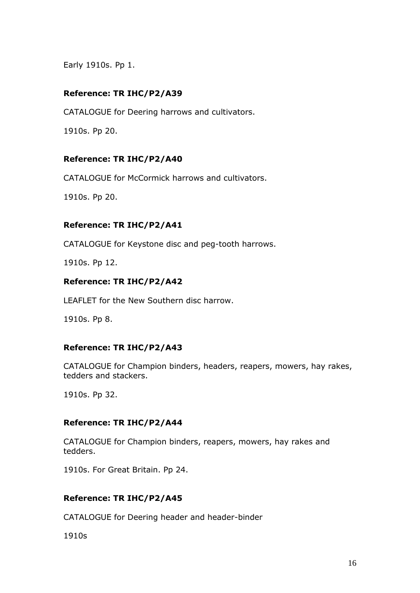Early 1910s. Pp 1.

# **Reference: TR IHC/P2/A39**

CATALOGUE for Deering harrows and cultivators.

1910s. Pp 20.

### **Reference: TR IHC/P2/A40**

CATALOGUE for McCormick harrows and cultivators.

1910s. Pp 20.

### **Reference: TR IHC/P2/A41**

CATALOGUE for Keystone disc and peg-tooth harrows.

1910s. Pp 12.

### **Reference: TR IHC/P2/A42**

LEAFLET for the New Southern disc harrow.

1910s. Pp 8.

### **Reference: TR IHC/P2/A43**

CATALOGUE for Champion binders, headers, reapers, mowers, hay rakes, tedders and stackers.

1910s. Pp 32.

### **Reference: TR IHC/P2/A44**

CATALOGUE for Champion binders, reapers, mowers, hay rakes and tedders.

1910s. For Great Britain. Pp 24.

### **Reference: TR IHC/P2/A45**

CATALOGUE for Deering header and header-binder

1910s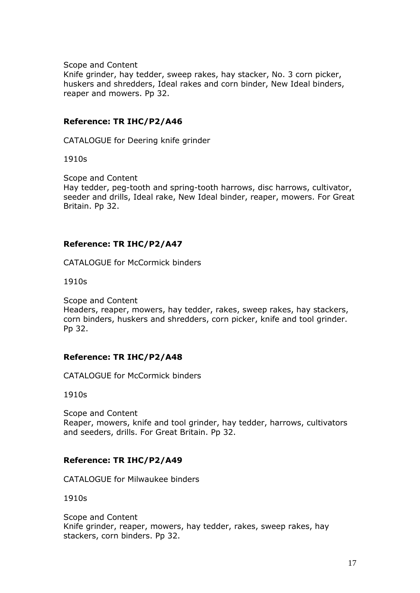Scope and Content

Knife grinder, hay tedder, sweep rakes, hay stacker, No. 3 corn picker, huskers and shredders, Ideal rakes and corn binder, New Ideal binders, reaper and mowers. Pp 32.

### **Reference: TR IHC/P2/A46**

CATALOGUE for Deering knife grinder

1910s

Scope and Content Hay tedder, peg-tooth and spring-tooth harrows, disc harrows, cultivator, seeder and drills, Ideal rake, New Ideal binder, reaper, mowers. For Great Britain. Pp 32.

#### **Reference: TR IHC/P2/A47**

CATALOGUE for McCormick binders

1910s

Scope and Content Headers, reaper, mowers, hay tedder, rakes, sweep rakes, hay stackers, corn binders, huskers and shredders, corn picker, knife and tool grinder. Pp 32.

#### **Reference: TR IHC/P2/A48**

CATALOGUE for McCormick binders

1910s

Scope and Content Reaper, mowers, knife and tool grinder, hay tedder, harrows, cultivators and seeders, drills. For Great Britain. Pp 32.

#### **Reference: TR IHC/P2/A49**

CATALOGUE for Milwaukee binders

1910s

Scope and Content Knife grinder, reaper, mowers, hay tedder, rakes, sweep rakes, hay stackers, corn binders. Pp 32.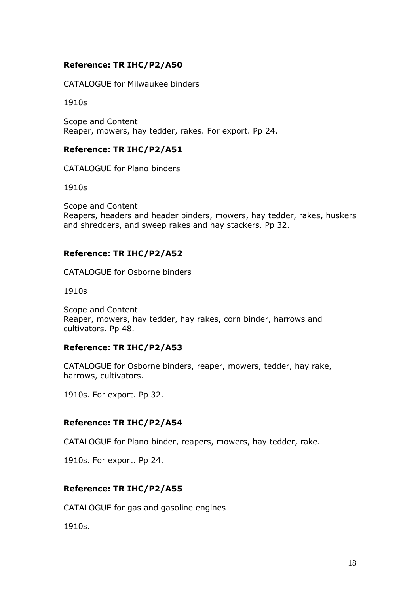## **Reference: TR IHC/P2/A50**

CATALOGUE for Milwaukee binders

1910s

Scope and Content Reaper, mowers, hay tedder, rakes. For export. Pp 24.

### **Reference: TR IHC/P2/A51**

CATALOGUE for Plano binders

1910s

Scope and Content Reapers, headers and header binders, mowers, hay tedder, rakes, huskers and shredders, and sweep rakes and hay stackers. Pp 32.

### **Reference: TR IHC/P2/A52**

CATALOGUE for Osborne binders

1910s

Scope and Content Reaper, mowers, hay tedder, hay rakes, corn binder, harrows and cultivators. Pp 48.

#### **Reference: TR IHC/P2/A53**

CATALOGUE for Osborne binders, reaper, mowers, tedder, hay rake, harrows, cultivators.

1910s. For export. Pp 32.

#### **Reference: TR IHC/P2/A54**

CATALOGUE for Plano binder, reapers, mowers, hay tedder, rake.

1910s. For export. Pp 24.

### **Reference: TR IHC/P2/A55**

CATALOGUE for gas and gasoline engines

1910s.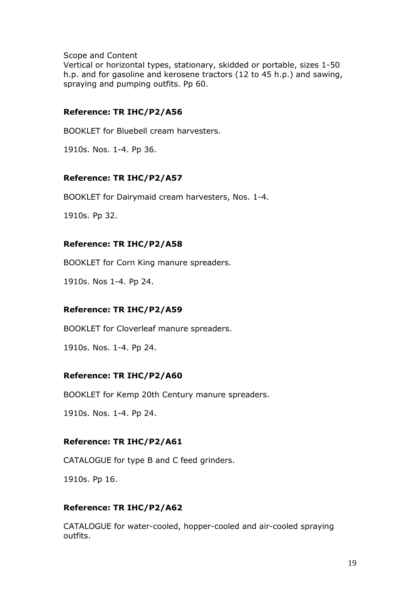Scope and Content

Vertical or horizontal types, stationary, skidded or portable, sizes 1-50 h.p. and for gasoline and kerosene tractors (12 to 45 h.p.) and sawing, spraying and pumping outfits. Pp 60.

## **Reference: TR IHC/P2/A56**

BOOKLET for Bluebell cream harvesters.

1910s. Nos. 1-4. Pp 36.

## **Reference: TR IHC/P2/A57**

BOOKLET for Dairymaid cream harvesters, Nos. 1-4.

1910s. Pp 32.

### **Reference: TR IHC/P2/A58**

BOOKLET for Corn King manure spreaders.

1910s. Nos 1-4. Pp 24.

### **Reference: TR IHC/P2/A59**

BOOKLET for Cloverleaf manure spreaders.

1910s. Nos. 1-4. Pp 24.

### **Reference: TR IHC/P2/A60**

BOOKLET for Kemp 20th Century manure spreaders.

1910s. Nos. 1-4. Pp 24.

### **Reference: TR IHC/P2/A61**

CATALOGUE for type B and C feed grinders.

1910s. Pp 16.

### **Reference: TR IHC/P2/A62**

CATALOGUE for water-cooled, hopper-cooled and air-cooled spraying outfits.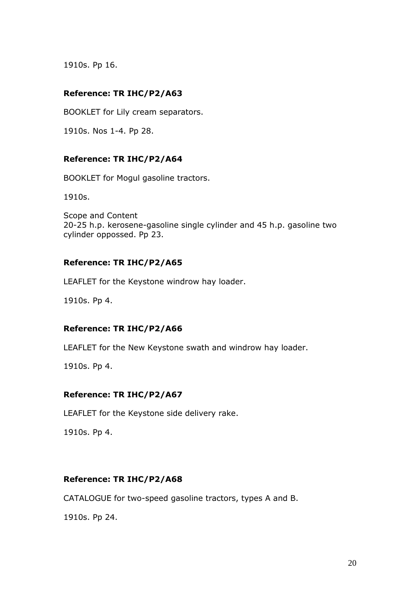1910s. Pp 16.

### **Reference: TR IHC/P2/A63**

BOOKLET for Lily cream separators.

1910s. Nos 1-4. Pp 28.

### **Reference: TR IHC/P2/A64**

BOOKLET for Mogul gasoline tractors.

1910s.

Scope and Content 20-25 h.p. kerosene-gasoline single cylinder and 45 h.p. gasoline two cylinder oppossed. Pp 23.

### **Reference: TR IHC/P2/A65**

LEAFLET for the Keystone windrow hay loader.

1910s. Pp 4.

### **Reference: TR IHC/P2/A66**

LEAFLET for the New Keystone swath and windrow hay loader.

1910s. Pp 4.

### **Reference: TR IHC/P2/A67**

LEAFLET for the Keystone side delivery rake.

1910s. Pp 4.

### **Reference: TR IHC/P2/A68**

CATALOGUE for two-speed gasoline tractors, types A and B.

1910s. Pp 24.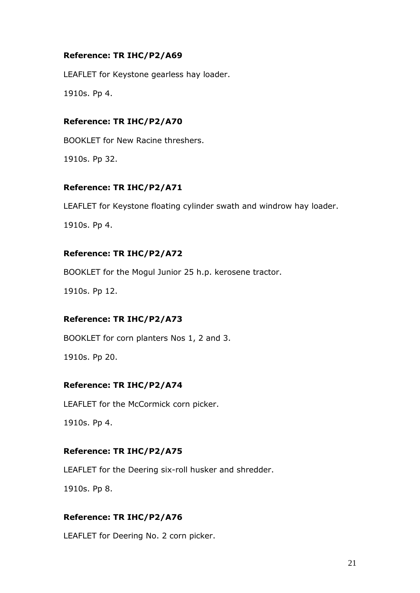## **Reference: TR IHC/P2/A69**

LEAFLET for Keystone gearless hay loader.

1910s. Pp 4.

## **Reference: TR IHC/P2/A70**

BOOKLET for New Racine threshers.

1910s. Pp 32.

# **Reference: TR IHC/P2/A71**

LEAFLET for Keystone floating cylinder swath and windrow hay loader.

1910s. Pp 4.

## **Reference: TR IHC/P2/A72**

BOOKLET for the Mogul Junior 25 h.p. kerosene tractor.

1910s. Pp 12.

### **Reference: TR IHC/P2/A73**

BOOKLET for corn planters Nos 1, 2 and 3.

1910s. Pp 20.

# **Reference: TR IHC/P2/A74**

LEAFLET for the McCormick corn picker.

1910s. Pp 4.

### **Reference: TR IHC/P2/A75**

LEAFLET for the Deering six-roll husker and shredder.

1910s. Pp 8.

### **Reference: TR IHC/P2/A76**

LEAFLET for Deering No. 2 corn picker.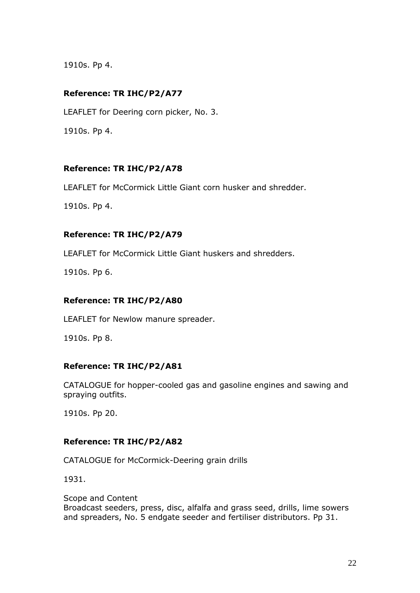1910s. Pp 4.

# **Reference: TR IHC/P2/A77**

LEAFLET for Deering corn picker, No. 3. 1910s. Pp 4.

## **Reference: TR IHC/P2/A78**

LEAFLET for McCormick Little Giant corn husker and shredder.

1910s. Pp 4.

### **Reference: TR IHC/P2/A79**

LEAFLET for McCormick Little Giant huskers and shredders.

1910s. Pp 6.

### **Reference: TR IHC/P2/A80**

LEAFLET for Newlow manure spreader.

1910s. Pp 8.

### **Reference: TR IHC/P2/A81**

CATALOGUE for hopper-cooled gas and gasoline engines and sawing and spraying outfits.

1910s. Pp 20.

# **Reference: TR IHC/P2/A82**

CATALOGUE for McCormick-Deering grain drills

1931.

Scope and Content Broadcast seeders, press, disc, alfalfa and grass seed, drills, lime sowers and spreaders, No. 5 endgate seeder and fertiliser distributors. Pp 31.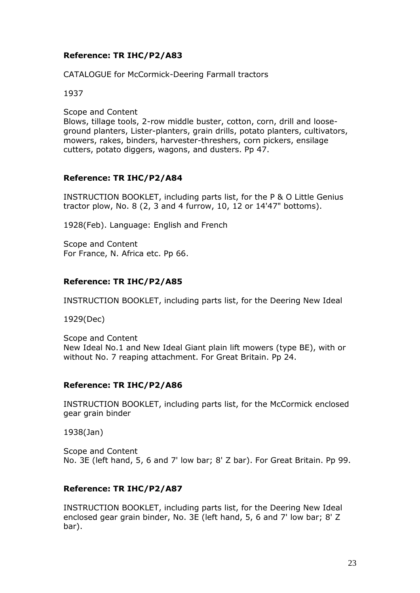## **Reference: TR IHC/P2/A83**

CATALOGUE for McCormick-Deering Farmall tractors

1937

Scope and Content

Blows, tillage tools, 2-row middle buster, cotton, corn, drill and looseground planters, Lister-planters, grain drills, potato planters, cultivators, mowers, rakes, binders, harvester-threshers, corn pickers, ensilage cutters, potato diggers, wagons, and dusters. Pp 47.

### **Reference: TR IHC/P2/A84**

INSTRUCTION BOOKLET, including parts list, for the P & O Little Genius tractor plow, No. 8 (2, 3 and 4 furrow, 10, 12 or 14'47" bottoms).

1928(Feb). Language: English and French

Scope and Content For France, N. Africa etc. Pp 66.

## **Reference: TR IHC/P2/A85**

INSTRUCTION BOOKLET, including parts list, for the Deering New Ideal

1929(Dec)

Scope and Content New Ideal No.1 and New Ideal Giant plain lift mowers (type BE), with or without No. 7 reaping attachment. For Great Britain. Pp 24.

### **Reference: TR IHC/P2/A86**

INSTRUCTION BOOKLET, including parts list, for the McCormick enclosed gear grain binder

1938(Jan)

Scope and Content No. 3E (left hand, 5, 6 and 7' low bar; 8' Z bar). For Great Britain. Pp 99.

### **Reference: TR IHC/P2/A87**

INSTRUCTION BOOKLET, including parts list, for the Deering New Ideal enclosed gear grain binder, No. 3E (left hand, 5, 6 and 7' low bar; 8' Z bar).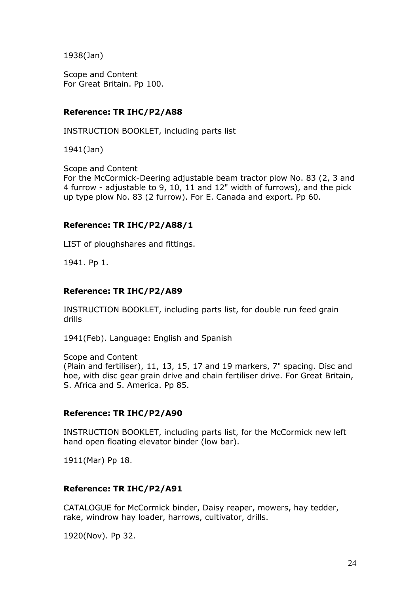1938(Jan)

Scope and Content For Great Britain. Pp 100.

### **Reference: TR IHC/P2/A88**

INSTRUCTION BOOKLET, including parts list

1941(Jan)

Scope and Content For the McCormick-Deering adjustable beam tractor plow No. 83 (2, 3 and 4 furrow - adjustable to 9, 10, 11 and 12" width of furrows), and the pick up type plow No. 83 (2 furrow). For E. Canada and export. Pp 60.

### **Reference: TR IHC/P2/A88/1**

LIST of ploughshares and fittings.

1941. Pp 1.

#### **Reference: TR IHC/P2/A89**

INSTRUCTION BOOKLET, including parts list, for double run feed grain drills

1941(Feb). Language: English and Spanish

Scope and Content (Plain and fertiliser), 11, 13, 15, 17 and 19 markers, 7" spacing. Disc and hoe, with disc gear grain drive and chain fertiliser drive. For Great Britain, S. Africa and S. America. Pp 85.

### **Reference: TR IHC/P2/A90**

INSTRUCTION BOOKLET, including parts list, for the McCormick new left hand open floating elevator binder (low bar).

1911(Mar) Pp 18.

### **Reference: TR IHC/P2/A91**

CATALOGUE for McCormick binder, Daisy reaper, mowers, hay tedder, rake, windrow hay loader, harrows, cultivator, drills.

1920(Nov). Pp 32.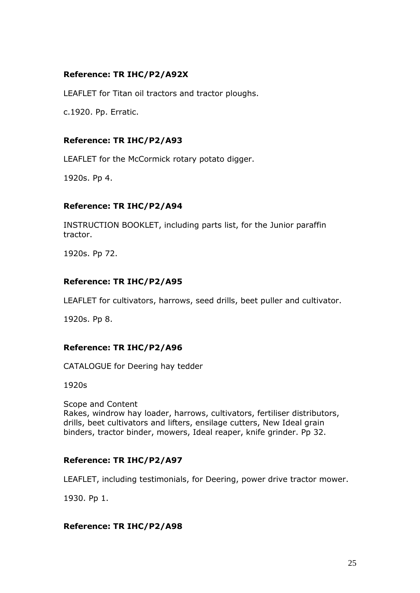# **Reference: TR IHC/P2/A92X**

LEAFLET for Titan oil tractors and tractor ploughs.

c.1920. Pp. Erratic.

# **Reference: TR IHC/P2/A93**

LEAFLET for the McCormick rotary potato digger.

1920s. Pp 4.

## **Reference: TR IHC/P2/A94**

INSTRUCTION BOOKLET, including parts list, for the Junior paraffin tractor.

1920s. Pp 72.

# **Reference: TR IHC/P2/A95**

LEAFLET for cultivators, harrows, seed drills, beet puller and cultivator.

1920s. Pp 8.

# **Reference: TR IHC/P2/A96**

CATALOGUE for Deering hay tedder

1920s

Scope and Content Rakes, windrow hay loader, harrows, cultivators, fertiliser distributors, drills, beet cultivators and lifters, ensilage cutters, New Ideal grain binders, tractor binder, mowers, Ideal reaper, knife grinder. Pp 32.

# **Reference: TR IHC/P2/A97**

LEAFLET, including testimonials, for Deering, power drive tractor mower.

1930. Pp 1.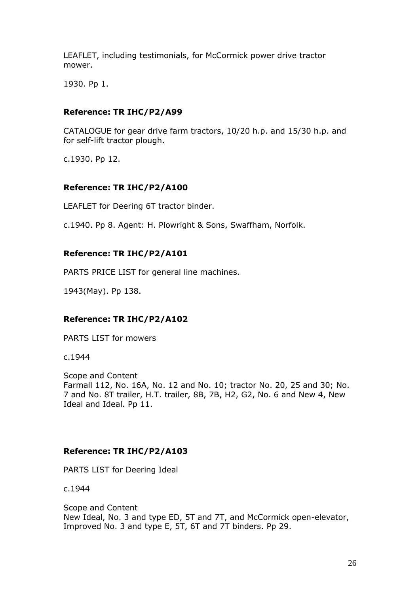LEAFLET, including testimonials, for McCormick power drive tractor mower.

1930. Pp 1.

### **Reference: TR IHC/P2/A99**

CATALOGUE for gear drive farm tractors, 10/20 h.p. and 15/30 h.p. and for self-lift tractor plough.

c.1930. Pp 12.

### **Reference: TR IHC/P2/A100**

LEAFLET for Deering 6T tractor binder.

c.1940. Pp 8. Agent: H. Plowright & Sons, Swaffham, Norfolk.

### **Reference: TR IHC/P2/A101**

PARTS PRICE LIST for general line machines.

1943(May). Pp 138.

### **Reference: TR IHC/P2/A102**

PARTS LIST for mowers

c.1944

Scope and Content Farmall 112, No. 16A, No. 12 and No. 10; tractor No. 20, 25 and 30; No. 7 and No. 8T trailer, H.T. trailer, 8B, 7B, H2, G2, No. 6 and New 4, New Ideal and Ideal. Pp 11.

### **Reference: TR IHC/P2/A103**

PARTS LIST for Deering Ideal

c.1944

Scope and Content New Ideal, No. 3 and type ED, 5T and 7T, and McCormick open-elevator, Improved No. 3 and type E, 5T, 6T and 7T binders. Pp 29.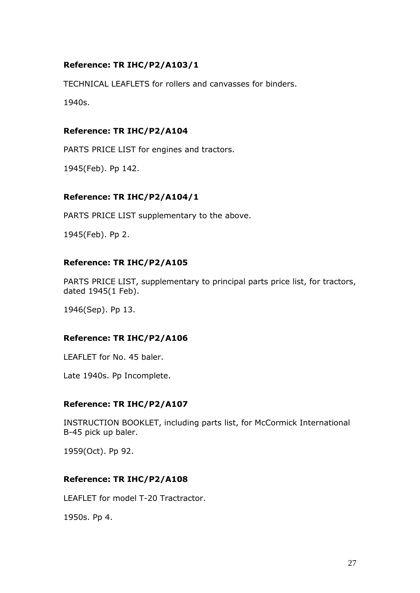# **Reference: TR IHC/P2/A103/1**

TECHNICAL LEAFLETS for rollers and canvasses for binders.

1940s.

# **Reference: TR IHC/P2/A104**

PARTS PRICE LIST for engines and tractors.

1945(Feb). Pp 142.

## **Reference: TR IHC/P2/A104/1**

PARTS PRICE LIST supplementary to the above.

1945(Feb). Pp 2.

## **Reference: TR IHC/P2/A105**

PARTS PRICE LIST, supplementary to principal parts price list, for tractors, dated 1945(1 Feb).

1946(Sep). Pp 13.

# **Reference: TR IHC/P2/A106**

LEAFLET for No. 45 baler.

Late 1940s. Pp Incomplete.

### **Reference: TR IHC/P2/A107**

INSTRUCTION BOOKLET, including parts list, for McCormick International B-45 pick up baler.

1959(Oct). Pp 92.

# **Reference: TR IHC/P2/A108**

LEAFLET for model T-20 Tractractor.

1950s. Pp 4.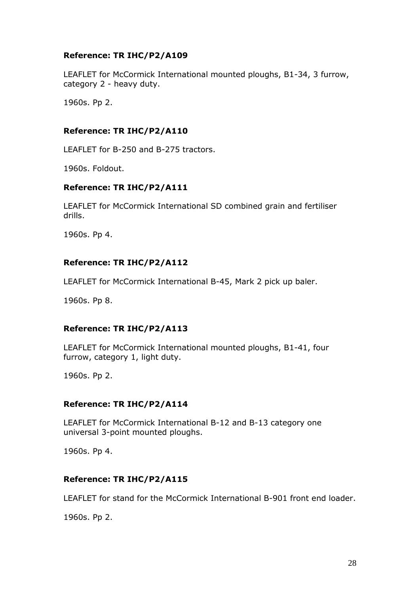## **Reference: TR IHC/P2/A109**

LEAFLET for McCormick International mounted ploughs, B1-34, 3 furrow, category 2 - heavy duty.

1960s. Pp 2.

### **Reference: TR IHC/P2/A110**

LEAFLET for B-250 and B-275 tractors.

1960s. Foldout.

### **Reference: TR IHC/P2/A111**

LEAFLET for McCormick International SD combined grain and fertiliser drills.

1960s. Pp 4.

## **Reference: TR IHC/P2/A112**

LEAFLET for McCormick International B-45, Mark 2 pick up baler.

1960s. Pp 8.

### **Reference: TR IHC/P2/A113**

LEAFLET for McCormick International mounted ploughs, B1-41, four furrow, category 1, light duty.

1960s. Pp 2.

### **Reference: TR IHC/P2/A114**

LEAFLET for McCormick International B-12 and B-13 category one universal 3-point mounted ploughs.

1960s. Pp 4.

## **Reference: TR IHC/P2/A115**

LEAFLET for stand for the McCormick International B-901 front end loader.

1960s. Pp 2.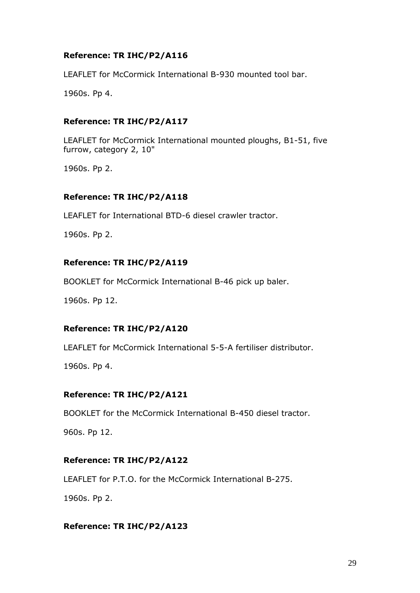## **Reference: TR IHC/P2/A116**

LEAFLET for McCormick International B-930 mounted tool bar.

1960s. Pp 4.

### **Reference: TR IHC/P2/A117**

LEAFLET for McCormick International mounted ploughs, B1-51, five furrow, category 2, 10"

1960s. Pp 2.

### **Reference: TR IHC/P2/A118**

LEAFLET for International BTD-6 diesel crawler tractor.

1960s. Pp 2.

### **Reference: TR IHC/P2/A119**

BOOKLET for McCormick International B-46 pick up baler.

1960s. Pp 12.

### **Reference: TR IHC/P2/A120**

LEAFLET for McCormick International 5-5-A fertiliser distributor.

1960s. Pp 4.

### **Reference: TR IHC/P2/A121**

BOOKLET for the McCormick International B-450 diesel tractor.

960s. Pp 12.

### **Reference: TR IHC/P2/A122**

LEAFLET for P.T.O. for the McCormick International B-275.

1960s. Pp 2.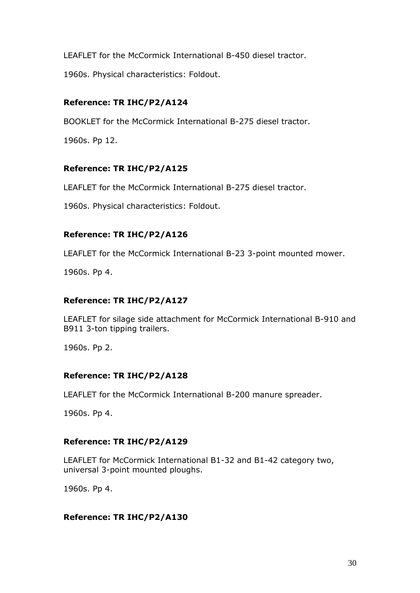LEAFLET for the McCormick International B-450 diesel tractor.

1960s. Physical characteristics: Foldout.

# **Reference: TR IHC/P2/A124**

BOOKLET for the McCormick International B-275 diesel tractor.

1960s. Pp 12.

# **Reference: TR IHC/P2/A125**

LEAFLET for the McCormick International B-275 diesel tractor.

1960s. Physical characteristics: Foldout.

# **Reference: TR IHC/P2/A126**

LEAFLET for the McCormick International B-23 3-point mounted mower.

1960s. Pp 4.

# **Reference: TR IHC/P2/A127**

LEAFLET for silage side attachment for McCormick International B-910 and B911 3-ton tipping trailers.

1960s. Pp 2.

### **Reference: TR IHC/P2/A128**

LEAFLET for the McCormick International B-200 manure spreader.

1960s. Pp 4.

# **Reference: TR IHC/P2/A129**

LEAFLET for McCormick International B1-32 and B1-42 category two, universal 3-point mounted ploughs.

1960s. Pp 4.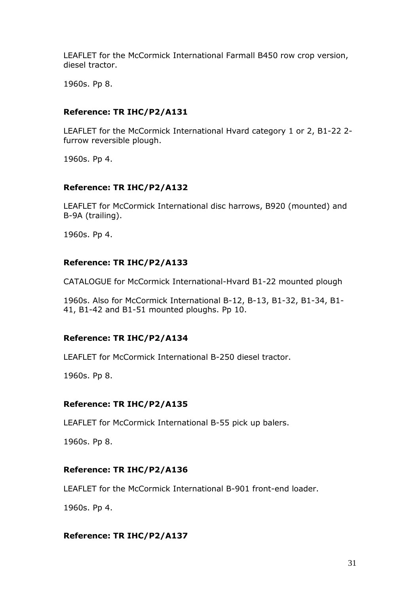LEAFLET for the McCormick International Farmall B450 row crop version, diesel tractor.

1960s. Pp 8.

### **Reference: TR IHC/P2/A131**

LEAFLET for the McCormick International Hvard category 1 or 2, B1-22 2 furrow reversible plough.

1960s. Pp 4.

### **Reference: TR IHC/P2/A132**

LEAFLET for McCormick International disc harrows, B920 (mounted) and B-9A (trailing).

1960s. Pp 4.

### **Reference: TR IHC/P2/A133**

CATALOGUE for McCormick International-Hvard B1-22 mounted plough

1960s. Also for McCormick International B-12, B-13, B1-32, B1-34, B1- 41, B1-42 and B1-51 mounted ploughs. Pp 10.

### **Reference: TR IHC/P2/A134**

LEAFLET for McCormick International B-250 diesel tractor.

1960s. Pp 8.

### **Reference: TR IHC/P2/A135**

LEAFLET for McCormick International B-55 pick up balers.

1960s. Pp 8.

### **Reference: TR IHC/P2/A136**

LEAFLET for the McCormick International B-901 front-end loader.

1960s. Pp 4.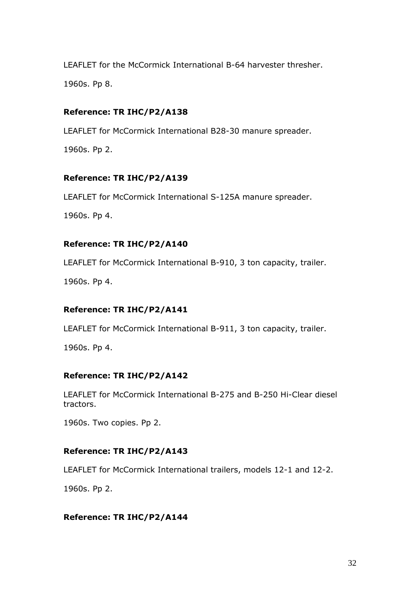LEAFLET for the McCormick International B-64 harvester thresher. 1960s. Pp 8.

# **Reference: TR IHC/P2/A138**

LEAFLET for McCormick International B28-30 manure spreader.

1960s. Pp 2.

# **Reference: TR IHC/P2/A139**

LEAFLET for McCormick International S-125A manure spreader.

1960s. Pp 4.

# **Reference: TR IHC/P2/A140**

LEAFLET for McCormick International B-910, 3 ton capacity, trailer.

1960s. Pp 4.

# **Reference: TR IHC/P2/A141**

LEAFLET for McCormick International B-911, 3 ton capacity, trailer.

1960s. Pp 4.

# **Reference: TR IHC/P2/A142**

LEAFLET for McCormick International B-275 and B-250 Hi-Clear diesel tractors.

1960s. Two copies. Pp 2.

# **Reference: TR IHC/P2/A143**

LEAFLET for McCormick International trailers, models 12-1 and 12-2.

1960s. Pp 2.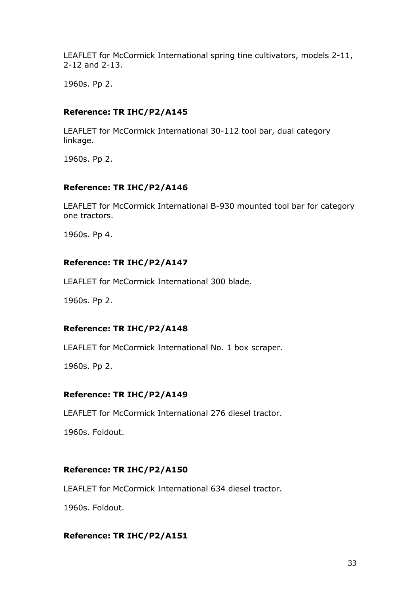LEAFLET for McCormick International spring tine cultivators, models 2-11, 2-12 and 2-13.

1960s. Pp 2.

# **Reference: TR IHC/P2/A145**

LEAFLET for McCormick International 30-112 tool bar, dual category linkage.

1960s. Pp 2.

# **Reference: TR IHC/P2/A146**

LEAFLET for McCormick International B-930 mounted tool bar for category one tractors.

1960s. Pp 4.

## **Reference: TR IHC/P2/A147**

LEAFLET for McCormick International 300 blade.

1960s. Pp 2.

# **Reference: TR IHC/P2/A148**

LEAFLET for McCormick International No. 1 box scraper.

1960s. Pp 2.

### **Reference: TR IHC/P2/A149**

LEAFLET for McCormick International 276 diesel tractor.

1960s. Foldout.

### **Reference: TR IHC/P2/A150**

LEAFLET for McCormick International 634 diesel tractor.

1960s. Foldout.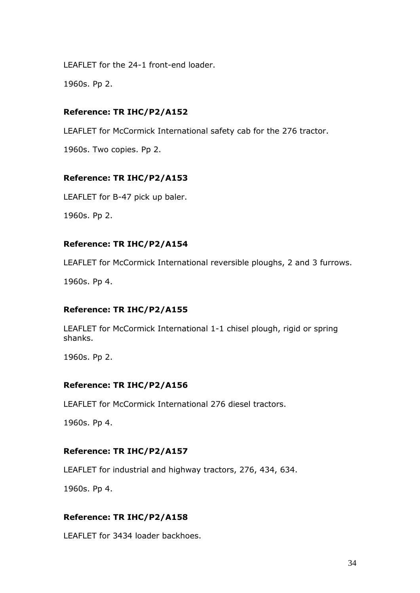LEAFLET for the 24-1 front-end loader.

1960s. Pp 2.

# **Reference: TR IHC/P2/A152**

LEAFLET for McCormick International safety cab for the 276 tractor.

1960s. Two copies. Pp 2.

# **Reference: TR IHC/P2/A153**

LEAFLET for B-47 pick up baler.

1960s. Pp 2.

# **Reference: TR IHC/P2/A154**

LEAFLET for McCormick International reversible ploughs, 2 and 3 furrows.

1960s. Pp 4.

# **Reference: TR IHC/P2/A155**

LEAFLET for McCormick International 1-1 chisel plough, rigid or spring shanks.

1960s. Pp 2.

# **Reference: TR IHC/P2/A156**

LEAFLET for McCormick International 276 diesel tractors.

1960s. Pp 4.

# **Reference: TR IHC/P2/A157**

LEAFLET for industrial and highway tractors, 276, 434, 634.

1960s. Pp 4.

# **Reference: TR IHC/P2/A158**

LEAFLET for 3434 loader backhoes.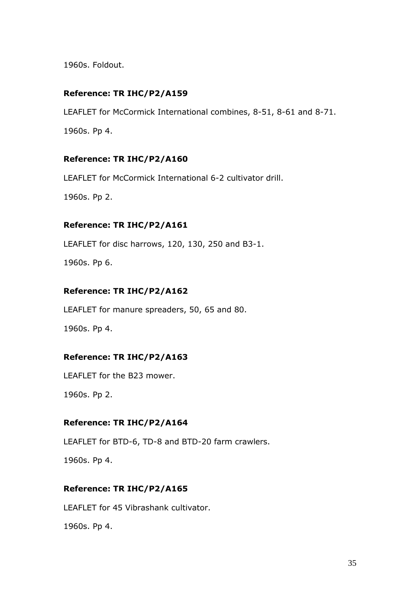1960s. Foldout.

### **Reference: TR IHC/P2/A159**

LEAFLET for McCormick International combines, 8-51, 8-61 and 8-71.

1960s. Pp 4.

### **Reference: TR IHC/P2/A160**

LEAFLET for McCormick International 6-2 cultivator drill.

1960s. Pp 2.

#### **Reference: TR IHC/P2/A161**

LEAFLET for disc harrows, 120, 130, 250 and B3-1.

1960s. Pp 6.

### **Reference: TR IHC/P2/A162**

LEAFLET for manure spreaders, 50, 65 and 80.

1960s. Pp 4.

### **Reference: TR IHC/P2/A163**

LEAFLET for the B23 mower.

1960s. Pp 2.

### **Reference: TR IHC/P2/A164**

LEAFLET for BTD-6, TD-8 and BTD-20 farm crawlers.

1960s. Pp 4.

### **Reference: TR IHC/P2/A165**

LEAFLET for 45 Vibrashank cultivator.

1960s. Pp 4.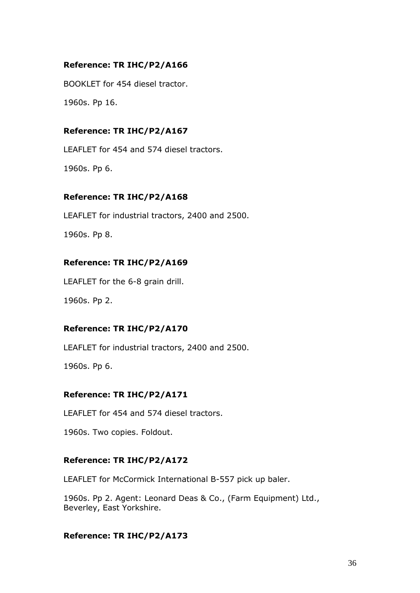# **Reference: TR IHC/P2/A166**

BOOKLET for 454 diesel tractor.

1960s. Pp 16.

### **Reference: TR IHC/P2/A167**

LEAFLET for 454 and 574 diesel tractors.

1960s. Pp 6.

### **Reference: TR IHC/P2/A168**

LEAFLET for industrial tractors, 2400 and 2500.

1960s. Pp 8.

### **Reference: TR IHC/P2/A169**

LEAFLET for the 6-8 grain drill.

1960s. Pp 2.

### **Reference: TR IHC/P2/A170**

LEAFLET for industrial tractors, 2400 and 2500.

1960s. Pp 6.

### **Reference: TR IHC/P2/A171**

LEAFLET for 454 and 574 diesel tractors.

1960s. Two copies. Foldout.

### **Reference: TR IHC/P2/A172**

LEAFLET for McCormick International B-557 pick up baler.

1960s. Pp 2. Agent: Leonard Deas & Co., (Farm Equipment) Ltd., Beverley, East Yorkshire.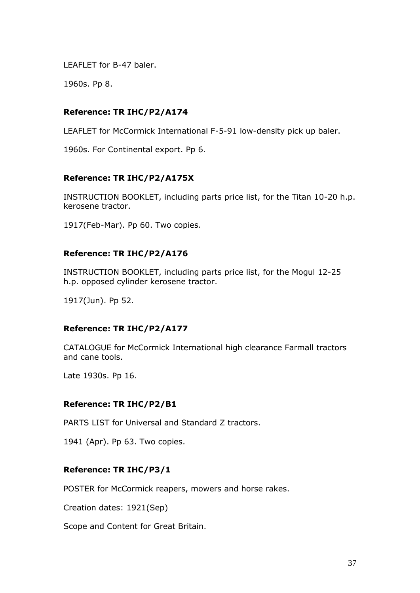LEAFLET for B-47 baler.

1960s. Pp 8.

# **Reference: TR IHC/P2/A174**

LEAFLET for McCormick International F-5-91 low-density pick up baler.

1960s. For Continental export. Pp 6.

# **Reference: TR IHC/P2/A175X**

INSTRUCTION BOOKLET, including parts price list, for the Titan 10-20 h.p. kerosene tractor.

1917(Feb-Mar). Pp 60. Two copies.

# **Reference: TR IHC/P2/A176**

INSTRUCTION BOOKLET, including parts price list, for the Mogul 12-25 h.p. opposed cylinder kerosene tractor.

1917(Jun). Pp 52.

# **Reference: TR IHC/P2/A177**

CATALOGUE for McCormick International high clearance Farmall tractors and cane tools.

Late 1930s. Pp 16.

# **Reference: TR IHC/P2/B1**

PARTS LIST for Universal and Standard Z tractors.

1941 (Apr). Pp 63. Two copies.

# **Reference: TR IHC/P3/1**

POSTER for McCormick reapers, mowers and horse rakes.

Creation dates: 1921(Sep)

Scope and Content for Great Britain.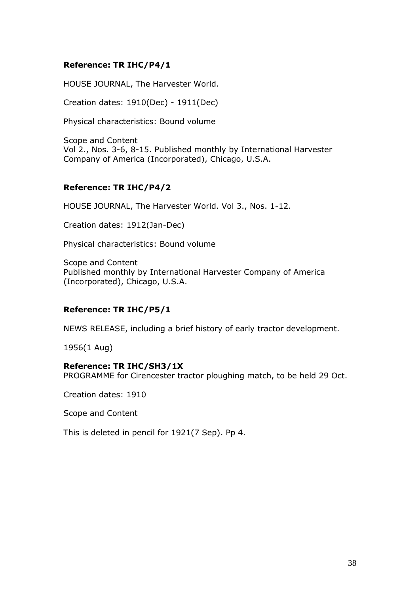## **Reference: TR IHC/P4/1**

HOUSE JOURNAL, The Harvester World.

Creation dates: 1910(Dec) - 1911(Dec)

Physical characteristics: Bound volume

Scope and Content Vol 2., Nos. 3-6, 8-15. Published monthly by International Harvester Company of America (Incorporated), Chicago, U.S.A.

## **Reference: TR IHC/P4/2**

HOUSE JOURNAL, The Harvester World. Vol 3., Nos. 1-12.

Creation dates: 1912(Jan-Dec)

Physical characteristics: Bound volume

Scope and Content Published monthly by International Harvester Company of America (Incorporated), Chicago, U.S.A.

# **Reference: TR IHC/P5/1**

NEWS RELEASE, including a brief history of early tractor development.

1956(1 Aug)

### **Reference: TR IHC/SH3/1X**

PROGRAMME for Cirencester tractor ploughing match, to be held 29 Oct.

Creation dates: 1910

Scope and Content

This is deleted in pencil for 1921(7 Sep). Pp 4.